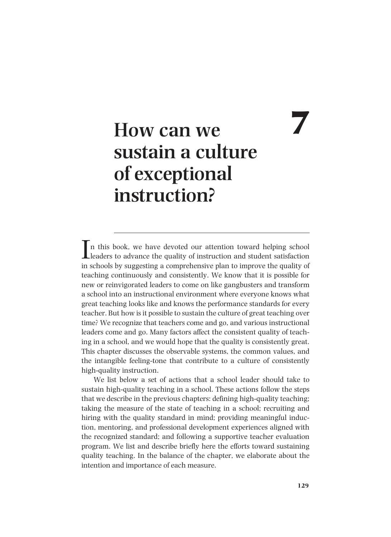In this book, we have devoted our attention toward helping school<br>leaders to advance the quality of instruction and student satisfaction n this book, we have devoted our attention toward helping school in schools by suggesting a comprehensive plan to improve the quality of teaching continuously and consistently. We know that it is possible for new or reinvigorated leaders to come on like gangbusters and transform a school into an instructional environment where everyone knows what great teaching looks like and knows the performance standards for every teacher. But how is it possible to sustain the culture of great teaching over time? We recognize that teachers come and go, and various instructional leaders come and go. Many factors affect the consistent quality of teaching in a school, and we would hope that the quality is consistently great. This chapter discusses the observable systems, the common values, and the intangible feeling-tone that contribute to a culture of consistently high-quality instruction.

 We list below a set of actions that a school leader should take to sustain high-quality teaching in a school. These actions follow the steps that we describe in the previous chapters: defining high-quality teaching; taking the measure of the state of teaching in a school; recruiting and hiring with the quality standard in mind; providing meaningful induction, mentoring, and professional development experiences aligned with the recognized standard; and following a supportive teacher evaluation program. We list and describe briefly here the efforts toward sustaining quality teaching. In the balance of the chapter, we elaborate about the intention and importance of each measure.

**7**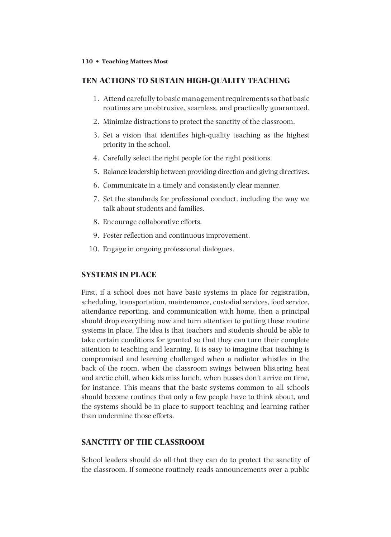## **TEN ACTIONS TO SUSTAIN HIGH-QUALITY TEACHING**

- 1. Attend carefully to basic management requirements so that basic routines are unobtrusive, seamless, and practically guaranteed.
- 2. Minimize distractions to protect the sanctity of the classroom.
- 3. Set a vision that identifies high-quality teaching as the highest priority in the school.
- 4. Carefully select the right people for the right positions.
- 5. Balance leadership between providing direction and giving directives.
- 6. Communicate in a timely and consistently clear manner.
- 7. Set the standards for professional conduct, including the way we talk about students and families.
- 8. Encourage collaborative efforts.
- 9. Foster reflection and continuous improvement.
- 10. Engage in ongoing professional dialogues.

# **SYSTEMS IN PLACE**

 First, if a school does not have basic systems in place for registration, scheduling, transportation, maintenance, custodial services, food service, attendance reporting, and communication with home, then a principal should drop everything now and turn attention to putting these routine systems in place. The idea is that teachers and students should be able to take certain conditions for granted so that they can turn their complete attention to teaching and learning. It is easy to imagine that teaching is compromised and learning challenged when a radiator whistles in the back of the room, when the classroom swings between blistering heat and arctic chill, when kids miss lunch, when busses don't arrive on time, for instance. This means that the basic systems common to all schools should become routines that only a few people have to think about, and the systems should be in place to support teaching and learning rather than undermine those efforts.

## **SANCTITY OF THE CLASSROOM**

 School leaders should do all that they can do to protect the sanctity of the classroom. If someone routinely reads announcements over a public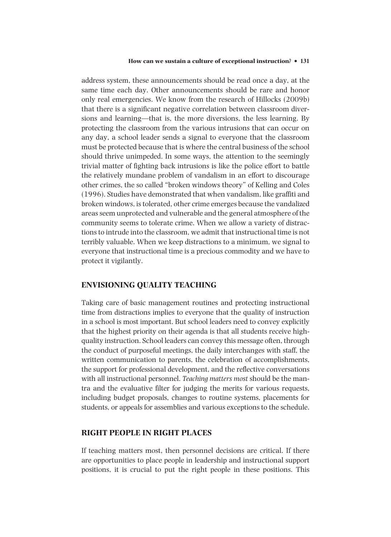address system, these announcements should be read once a day, at the same time each day. Other announcements should be rare and honor only real emergencies. We know from the research of Hillocks (2009b) that there is a significant negative correlation between classroom diversions and learning—that is, the more diversions, the less learning. By protecting the classroom from the various intrusions that can occur on any day, a school leader sends a signal to everyone that the classroom must be protected because that is where the central business of the school should thrive unimpeded. In some ways, the attention to the seemingly trivial matter of fighting back intrusions is like the police effort to battle the relatively mundane problem of vandalism in an effort to discourage other crimes, the so called "broken windows theory" of Kelling and Coles (1996). Studies have demonstrated that when vandalism, like graffiti and broken windows, is tolerated, other crime emerges because the vandalized areas seem unprotected and vulnerable and the general atmosphere of the community seems to tolerate crime. When we allow a variety of distractions to intrude into the classroom, we admit that instructional time is not terribly valuable. When we keep distractions to a minimum, we signal to everyone that instructional time is a precious commodity and we have to protect it vigilantly.

# **ENVISIONING QUALITY TEACHING**

 Taking care of basic management routines and protecting instructional time from distractions implies to everyone that the quality of instruction in a school is most important. But school leaders need to convey explicitly that the highest priority on their agenda is that all students receive highquality instruction. School leaders can convey this message often, through the conduct of purposeful meetings, the daily interchanges with staff, the written communication to parents, the celebration of accomplishments, the support for professional development, and the reflective conversations with all instructional personnel. *Teaching matters most* should be the mantra and the evaluative filter for judging the merits for various requests, including budget proposals, changes to routine systems, placements for students, or appeals for assemblies and various exceptions to the schedule.

# **RIGHT PEOPLE IN RIGHT PLACES**

 If teaching matters most, then personnel decisions are critical. If there are opportunities to place people in leadership and instructional support positions, it is crucial to put the right people in these positions. This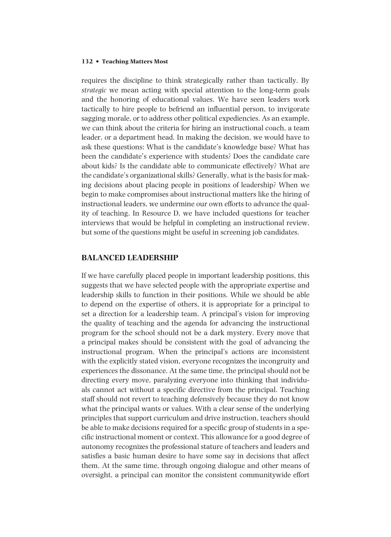requires the discipline to think strategically rather than tactically. By *strategic* we mean acting with special attention to the long-term goals and the honoring of educational values. We have seen leaders work tactically to hire people to befriend an influential person, to invigorate sagging morale, or to address other political expediencies. As an example, we can think about the criteria for hiring an instructional coach, a team leader, or a department head. In making the decision, we would have to ask these questions: What is the candidate's knowledge base? What has been the candidate's experience with students? Does the candidate care about kids? Is the candidate able to communicate effectively? What are the candidate's organizational skills? Generally, what is the basis for making decisions about placing people in positions of leadership? When we begin to make compromises about instructional matters like the hiring of instructional leaders, we undermine our own efforts to advance the quality of teaching. In Resource D, we have included questions for teacher interviews that would be helpful in completing an instructional review, but some of the questions might be useful in screening job candidates.

# **BALANCED LEADERSHIP**

 If we have carefully placed people in important leadership positions, this suggests that we have selected people with the appropriate expertise and leadership skills to function in their positions. While we should be able to depend on the expertise of others, it is appropriate for a principal to set a direction for a leadership team. A principal's vision for improving the quality of teaching and the agenda for advancing the instructional program for the school should not be a dark mystery. Every move that a principal makes should be consistent with the goal of advancing the instructional program. When the principal's actions are inconsistent with the explicitly stated vision, everyone recognizes the incongruity and experiences the dissonance. At the same time, the principal should not be directing every move, paralyzing everyone into thinking that individuals cannot act without a specific directive from the principal. Teaching staff should not revert to teaching defensively because they do not know what the principal wants or values. With a clear sense of the underlying principles that support curriculum and drive instruction, teachers should be able to make decisions required for a specific group of students in a specific instructional moment or context. This allowance for a good degree of autonomy recognizes the professional stature of teachers and leaders and satisfies a basic human desire to have some say in decisions that affect them. At the same time, through ongoing dialogue and other means of oversight, a principal can monitor the consistent communitywide effort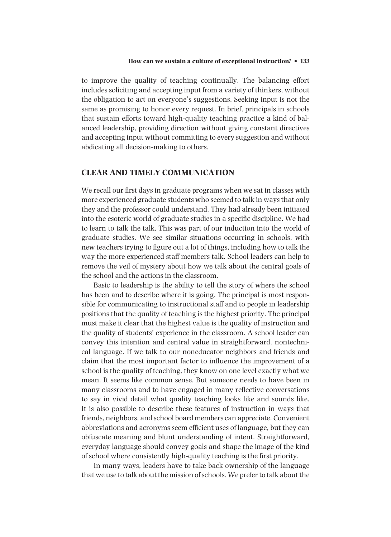to improve the quality of teaching continually. The balancing effort includes soliciting and accepting input from a variety of thinkers, without the obligation to act on everyone's suggestions. Seeking input is not the same as promising to honor every request. In brief, principals in schools that sustain efforts toward high-quality teaching practice a kind of balanced leadership, providing direction without giving constant directives and accepting input without committing to every suggestion and without abdicating all decision-making to others.

## **CLEAR AND TIMELY COMMUNICATION**

 We recall our first days in graduate programs when we sat in classes with more experienced graduate students who seemed to talk in ways that only they and the professor could understand. They had already been initiated into the esoteric world of graduate studies in a specific discipline. We had to learn to talk the talk. This was part of our induction into the world of graduate studies. We see similar situations occurring in schools, with new teachers trying to figure out a lot of things, including how to talk the way the more experienced staff members talk. School leaders can help to remove the veil of mystery about how we talk about the central goals of the school and the actions in the classroom.

 Basic to leadership is the ability to tell the story of where the school has been and to describe where it is going. The principal is most responsible for communicating to instructional staff and to people in leadership positions that the quality of teaching is the highest priority. The principal must make it clear that the highest value is the quality of instruction and the quality of students' experience in the classroom. A school leader can convey this intention and central value in straightforward, nontechnical language. If we talk to our noneducator neighbors and friends and claim that the most important factor to influence the improvement of a school is the quality of teaching, they know on one level exactly what we mean. It seems like common sense. But someone needs to have been in many classrooms and to have engaged in many reflective conversations to say in vivid detail what quality teaching looks like and sounds like. It is also possible to describe these features of instruction in ways that friends, neighbors, and school board members can appreciate. Convenient abbreviations and acronyms seem efficient uses of language, but they can obfuscate meaning and blunt understanding of intent. Straightforward, everyday language should convey goals and shape the image of the kind of school where consistently high-quality teaching is the first priority.

 In many ways, leaders have to take back ownership of the language that we use to talk about the mission of schools. We prefer to talk about the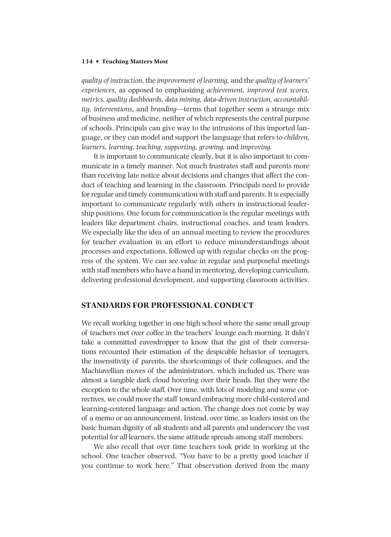*quality of instruction,* the *improvement of learning,* and the *quality of learners' experiences,* as opposed to emphasizing *achievement, improved test scores, metrics, quality dashboards, data mining, data-driven instruction, accountability, interventions,* and *branding*—terms that together seem a strange mix of business and medicine, neither of which represents the central purpose of schools. Principals can give way to the intrusions of this imported language, or they can model and support the language that refers to *children, learners, learning, teaching, supporting, growing,* and *improving.*

 It is important to communicate clearly, but it is also important to communicate in a timely manner. Not much frustrates staff and parents more than receiving late notice about decisions and changes that affect the conduct of teaching and learning in the classroom. Principals need to provide for regular and timely communication with staff and parents. It is especially important to communicate regularly with others in instructional leadership positions. One forum for communication is the regular meetings with leaders like department chairs, instructional coaches, and team leaders. We especially like the idea of an annual meeting to review the procedures for teacher evaluation in an effort to reduce misunderstandings about processes and expectations, followed up with regular checks on the progress of the system. We can see value in regular and purposeful meetings with staff members who have a hand in mentoring, developing curriculum, delivering professional development, and supporting classroom activities.

# **STANDARDS FOR PROFESSIONAL CONDUCT**

 We recall working together in one high school where the same small group of teachers met over coffee in the teachers' lounge each morning. It didn't take a committed eavesdropper to know that the gist of their conversations recounted their estimation of the despicable behavior of teenagers, the insensitivity of parents, the shortcomings of their colleagues, and the Machiavellian moves of the administrators, which included us. There was almost a tangible dark cloud hovering over their heads. But they were the exception to the whole staff. Over time, with lots of modeling and some correctives, we could move the staff toward embracing more child-centered and learning-centered language and action. The change does not come by way of a memo or an announcement. Instead, over time, as leaders insist on the basic human dignity of all students and all parents and underscore the vast potential for all learners, the same attitude spreads among staff members.

 We also recall that over time teachers took pride in working at the school. One teacher observed, "You have to be a pretty good teacher if you continue to work here." That observation derived from the many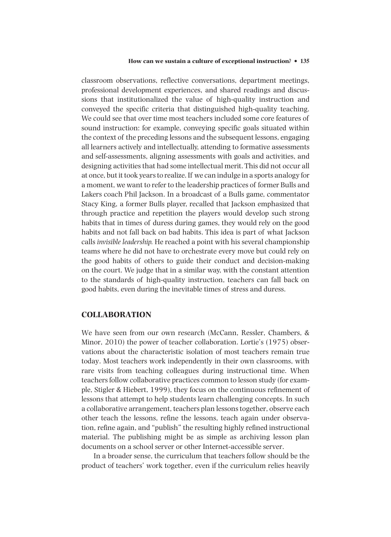classroom observations, reflective conversations, department meetings, professional development experiences, and shared readings and discussions that institutionalized the value of high-quality instruction and conveyed the specific criteria that distinguished high-quality teaching. We could see that over time most teachers included some core features of sound instruction: for example, conveying specific goals situated within the context of the preceding lessons and the subsequent lessons, engaging all learners actively and intellectually, attending to formative assessments and self-assessments, aligning assessments with goals and activities, and designing activities that had some intellectual merit. This did not occur all at once, but it took years to realize. If we can indulge in a sports analogy for a moment, we want to refer to the leadership practices of former Bulls and Lakers coach Phil Jackson. In a broadcast of a Bulls game, commentator Stacy King, a former Bulls player, recalled that Jackson emphasized that through practice and repetition the players would develop such strong habits that in times of duress during games, they would rely on the good habits and not fall back on bad habits. This idea is part of what Jackson calls *invisible leadership.* He reached a point with his several championship teams where he did not have to orchestrate every move but could rely on the good habits of others to guide their conduct and decision-making on the court. We judge that in a similar way, with the constant attention to the standards of high-quality instruction, teachers can fall back on good habits, even during the inevitable times of stress and duress.

# **COLLABORATION**

 We have seen from our own research (McCann, Ressler, Chambers, & Minor, 2010) the power of teacher collaboration. Lortie's (1975) observations about the characteristic isolation of most teachers remain true today. Most teachers work independently in their own classrooms, with rare visits from teaching colleagues during instructional time. When teachers follow collaborative practices common to lesson study (for example, Stigler & Hiebert, 1999), they focus on the continuous refinement of lessons that attempt to help students learn challenging concepts. In such a collaborative arrangement, teachers plan lessons together, observe each other teach the lessons, refine the lessons, teach again under observation, refine again, and "publish" the resulting highly refined instructional material. The publishing might be as simple as archiving lesson plan documents on a school server or other Internet-accessible server.

 In a broader sense, the curriculum that teachers follow should be the product of teachers' work together, even if the curriculum relies heavily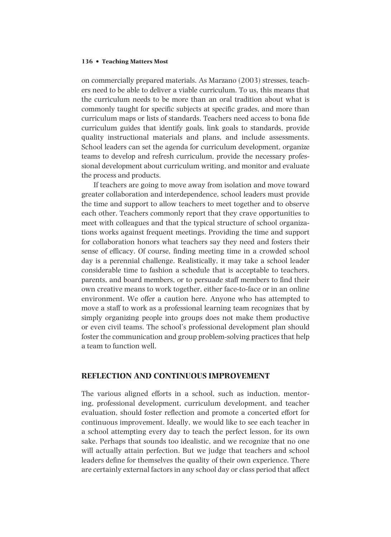on commercially prepared materials. As Marzano (2003) stresses, teachers need to be able to deliver a viable curriculum. To us, this means that the curriculum needs to be more than an oral tradition about what is commonly taught for specific subjects at specific grades, and more than curriculum maps or lists of standards. Teachers need access to bona fide curriculum guides that identify goals, link goals to standards, provide quality instructional materials and plans, and include assessments. School leaders can set the agenda for curriculum development, organize teams to develop and refresh curriculum, provide the necessary professional development about curriculum writing, and monitor and evaluate the process and products.

 If teachers are going to move away from isolation and move toward greater collaboration and interdependence, school leaders must provide the time and support to allow teachers to meet together and to observe each other. Teachers commonly report that they crave opportunities to meet with colleagues and that the typical structure of school organizations works against frequent meetings. Providing the time and support for collaboration honors what teachers say they need and fosters their sense of efficacy. Of course, finding meeting time in a crowded school day is a perennial challenge. Realistically, it may take a school leader considerable time to fashion a schedule that is acceptable to teachers, parents, and board members, or to persuade staff members to find their own creative means to work together, either face-to-face or in an online environment. We offer a caution here. Anyone who has attempted to move a staff to work as a professional learning team recognizes that by simply organizing people into groups does not make them productive or even civil teams. The school's professional development plan should foster the communication and group problem-solving practices that help a team to function well.

## **REFLECTION AND CONTINUOUS IMPROVEMENT**

 The various aligned efforts in a school, such as induction, mentoring, professional development, curriculum development, and teacher evaluation, should foster reflection and promote a concerted effort for continuous improvement. Ideally, we would like to see each teacher in a school attempting every day to teach the perfect lesson, for its own sake. Perhaps that sounds too idealistic, and we recognize that no one will actually attain perfection. But we judge that teachers and school leaders define for themselves the quality of their own experience. There are certainly external factors in any school day or class period that affect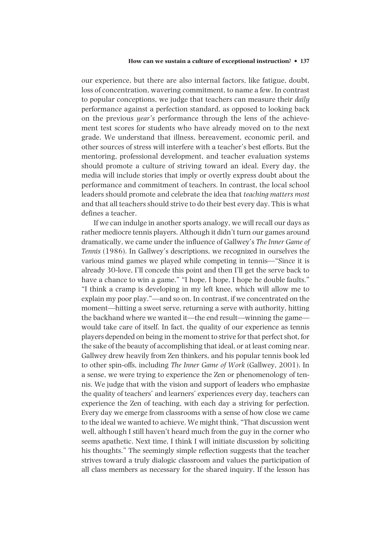our experience, but there are also internal factors, like fatigue, doubt, loss of concentration, wavering commitment, to name a few. In contrast to popular conceptions, we judge that teachers can measure their *daily* performance against a perfection standard, as opposed to looking back on the previous *year's* performance through the lens of the achievement test scores for students who have already moved on to the next grade. We understand that illness, bereavement, economic peril, and other sources of stress will interfere with a teacher's best efforts. But the mentoring, professional development, and teacher evaluation systems should promote a culture of striving toward an ideal. Every day, the media will include stories that imply or overtly express doubt about the performance and commitment of teachers. In contrast, the local school leaders should promote and celebrate the idea that *teaching matters most* and that all teachers should strive to do their best every day. This is what defines a teacher.

 If we can indulge in another sports analogy, we will recall our days as rather mediocre tennis players. Although it didn't turn our games around dramatically, we came under the influence of Gallwey's *The Inner Game of Tennis* (1986). In Gallwey's descriptions, we recognized in ourselves the various mind games we played while competing in tennis—"Since it is already 30-love, I'll concede this point and then I'll get the serve back to have a chance to win a game." "I hope, I hope, I hope he double faults." "I think a cramp is developing in my left knee, which will allow me to explain my poor play."—and so on. In contrast, if we concentrated on the moment—hitting a sweet serve, returning a serve with authority, hitting the backhand where we wanted it—the end result—winning the game would take care of itself. In fact, the quality of our experience as tennis players depended on being in the moment to strive for that perfect shot, for the sake of the beauty of accomplishing that ideal, or at least coming near. Gallwey drew heavily from Zen thinkers, and his popular tennis book led to other spin-offs, including *The Inner Game of Work* (Gallwey, 2001). In a sense, we were trying to experience the Zen or phenomenology of tennis. We judge that with the vision and support of leaders who emphasize the quality of teachers' and learners' experiences every day, teachers can experience the Zen of teaching, with each day a striving for perfection. Every day we emerge from classrooms with a sense of how close we came to the ideal we wanted to achieve. We might think, "That discussion went well, although I still haven't heard much from the guy in the corner who seems apathetic. Next time, I think I will initiate discussion by soliciting his thoughts." The seemingly simple reflection suggests that the teacher strives toward a truly dialogic classroom and values the participation of all class members as necessary for the shared inquiry. If the lesson has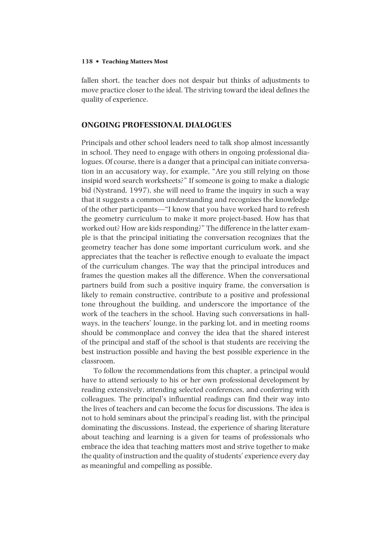fallen short, the teacher does not despair but thinks of adjustments to move practice closer to the ideal. The striving toward the ideal defines the quality of experience.

## **ONGOING PROFESSIONAL DIALOGUES**

 Principals and other school leaders need to talk shop almost incessantly in school. They need to engage with others in ongoing professional dialogues. Of course, there is a danger that a principal can initiate conversation in an accusatory way, for example, "Are you still relying on those insipid word search worksheets?" If someone is going to make a dialogic bid (Nystrand, 1997), she will need to frame the inquiry in such a way that it suggests a common understanding and recognizes the knowledge of the other participants—"I know that you have worked hard to refresh the geometry curriculum to make it more project-based. How has that worked out? How are kids responding?" The difference in the latter example is that the principal initiating the conversation recognizes that the geometry teacher has done some important curriculum work, and she appreciates that the teacher is reflective enough to evaluate the impact of the curriculum changes. The way that the principal introduces and frames the question makes all the difference. When the conversational partners build from such a positive inquiry frame, the conversation is likely to remain constructive, contribute to a positive and professional tone throughout the building, and underscore the importance of the work of the teachers in the school. Having such conversations in hallways, in the teachers' lounge, in the parking lot, and in meeting rooms should be commonplace and convey the idea that the shared interest of the principal and staff of the school is that students are receiving the best instruction possible and having the best possible experience in the classroom.

 To follow the recommendations from this chapter, a principal would have to attend seriously to his or her own professional development by reading extensively, attending selected conferences, and conferring with colleagues. The principal's influential readings can find their way into the lives of teachers and can become the focus for discussions. The idea is not to hold seminars about the principal's reading list, with the principal dominating the discussions. Instead, the experience of sharing literature about teaching and learning is a given for teams of professionals who embrace the idea that teaching matters most and strive together to make the quality of instruction and the quality of students' experience every day as meaningful and compelling as possible.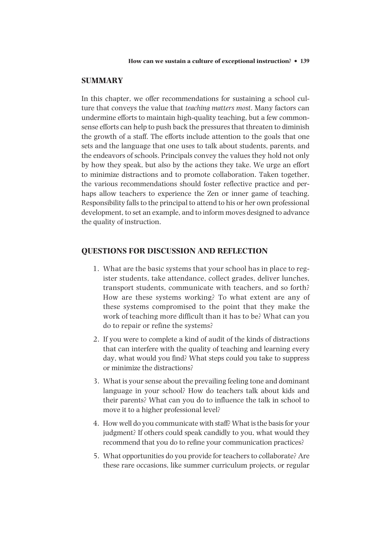## **SUMMARY**

 In this chapter, we offer recommendations for sustaining a school culture that conveys the value that *teaching matters most* . Many factors can undermine efforts to maintain high-quality teaching, but a few commonsense efforts can help to push back the pressures that threaten to diminish the growth of a staff. The efforts include attention to the goals that one sets and the language that one uses to talk about students, parents, and the endeavors of schools. Principals convey the values they hold not only by how they speak, but also by the actions they take. We urge an effort to minimize distractions and to promote collaboration. Taken together, the various recommendations should foster reflective practice and perhaps allow teachers to experience the Zen or inner game of teaching. Responsibility falls to the principal to attend to his or her own professional development, to set an example, and to inform moves designed to advance the quality of instruction.

## **QUESTIONS FOR DISCUSSION AND REFLECTION**

- 1. What are the basic systems that your school has in place to register students, take attendance, collect grades, deliver lunches, transport students, communicate with teachers, and so forth? How are these systems working? To what extent are any of these systems compromised to the point that they make the work of teaching more difficult than it has to be? What can you do to repair or refine the systems?
- 2. If you were to complete a kind of audit of the kinds of distractions that can interfere with the quality of teaching and learning every day, what would you find? What steps could you take to suppress or minimize the distractions?
- 3. What is your sense about the prevailing feeling tone and dominant language in your school? How do teachers talk about kids and their parents? What can you do to influence the talk in school to move it to a higher professional level?
- 4. How well do you communicate with staff? What is the basis for your judgment? If others could speak candidly to you, what would they recommend that you do to refine your communication practices?
- 5. What opportunities do you provide for teachers to collaborate? Are these rare occasions, like summer curriculum projects, or regular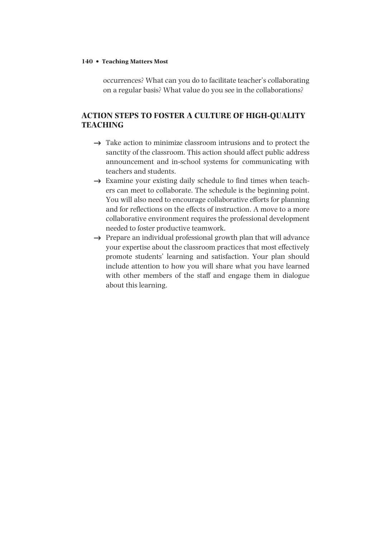occurrences? What can you do to facilitate teacher's collaborating on a regular basis? What value do you see in the collaborations?

# **ACTION STEPS TO FOSTER A CULTURE OF HIGH-QUALITY TEACHING**

- **→** Take action to minimize classroom intrusions and to protect the sanctity of the classroom. This action should affect public address announcement and in-school systems for communicating with teachers and students.
- **→** Examine your existing daily schedule to find times when teachers can meet to collaborate. The schedule is the beginning point. You will also need to encourage collaborative efforts for planning and for reflections on the effects of instruction. A move to a more collaborative environment requires the professional development needed to foster productive teamwork.
- → Prepare an individual professional growth plan that will advance your expertise about the classroom practices that most effectively promote students' learning and satisfaction. Your plan should include attention to how you will share what you have learned with other members of the staff and engage them in dialogue about this learning.